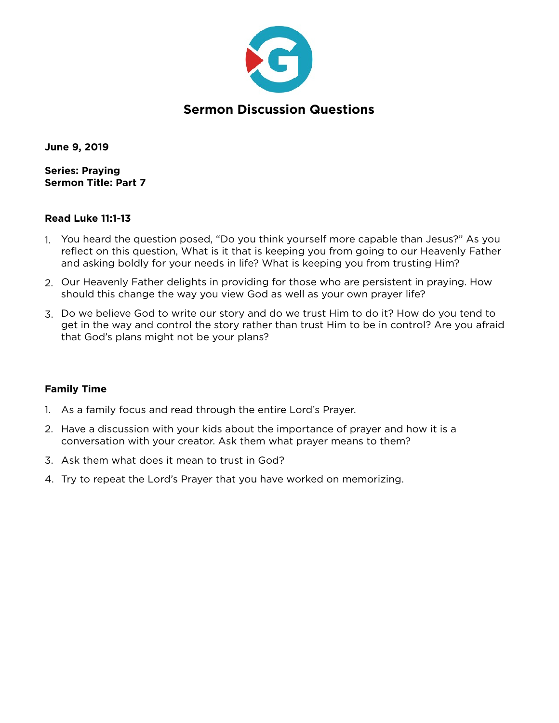

## **Sermon Discussion Questions**

**June 9, 2019** 

**Series: Praying Sermon Title: Part 7** 

#### **Read Luke 11:1-13**

- 1. You heard the question posed, "Do you think yourself more capable than Jesus?" As you reflect on this question, What is it that is keeping you from going to our Heavenly Father and asking boldly for your needs in life? What is keeping you from trusting Him?
- 2. Our Heavenly Father delights in providing for those who are persistent in praying. How should this change the way you view God as well as your own prayer life?
- 3. Do we believe God to write our story and do we trust Him to do it? How do you tend to get in the way and control the story rather than trust Him to be in control? Are you afraid that God's plans might not be your plans?

## **Family Time**

- 1. As a family focus and read through the entire Lord's Prayer.
- 2. Have a discussion with your kids about the importance of prayer and how it is a conversation with your creator. Ask them what prayer means to them?
- 3. Ask them what does it mean to trust in God?
- 4. Try to repeat the Lord's Prayer that you have worked on memorizing.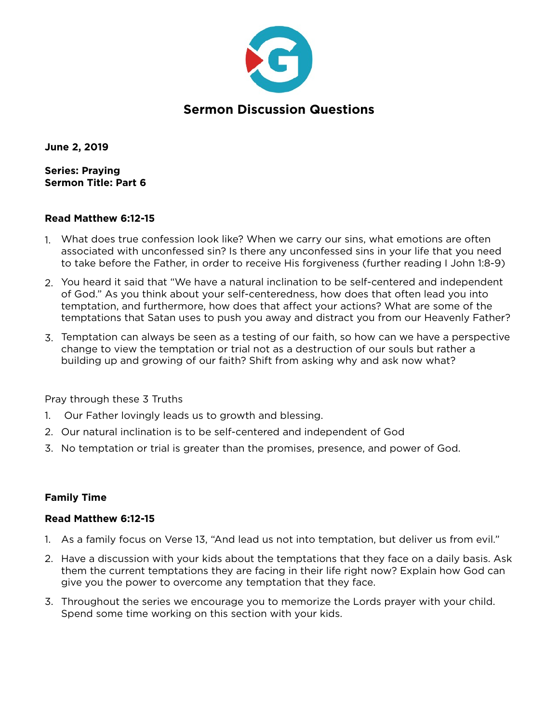

# **Sermon Discussion Questions**

**June 2, 2019** 

**Series: Praying Sermon Title: Part 6** 

#### **Read Matthew 6:12-15**

- 1. What does true confession look like? When we carry our sins, what emotions are often associated with unconfessed sin? Is there any unconfessed sins in your life that you need to take before the Father, in order to receive His forgiveness (further reading I John 1:8-9)
- 2. You heard it said that "We have a natural inclination to be self-centered and independent of God." As you think about your self-centeredness, how does that often lead you into temptation, and furthermore, how does that affect your actions? What are some of the temptations that Satan uses to push you away and distract you from our Heavenly Father?
- 3. Temptation can always be seen as a testing of our faith, so how can we have a perspective change to view the temptation or trial not as a destruction of our souls but rather a building up and growing of our faith? Shift from asking why and ask now what?

Pray through these 3 Truths

- 1. Our Father lovingly leads us to growth and blessing.
- 2. Our natural inclination is to be self-centered and independent of God
- 3. No temptation or trial is greater than the promises, presence, and power of God.

## **Family Time**

#### **Read Matthew 6:12-15**

- 1. As a family focus on Verse 13, "And lead us not into temptation, but deliver us from evil."
- 2. Have a discussion with your kids about the temptations that they face on a daily basis. Ask them the current temptations they are facing in their life right now? Explain how God can give you the power to overcome any temptation that they face.
- 3. Throughout the series we encourage you to memorize the Lords prayer with your child. Spend some time working on this section with your kids.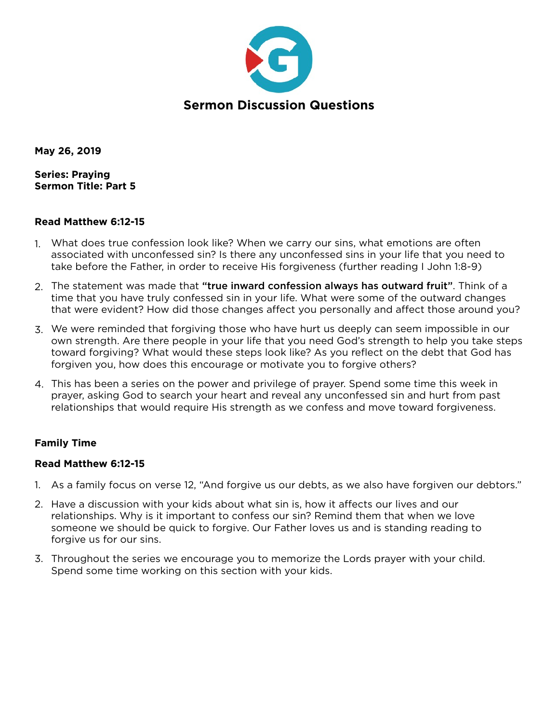

**May 26, 2019** 

**Series: Praying Sermon Title: Part 5** 

#### **Read Matthew 6:12-15**

- 1. What does true confession look like? When we carry our sins, what emotions are often associated with unconfessed sin? Is there any unconfessed sins in your life that you need to take before the Father, in order to receive His forgiveness (further reading I John 1:8-9)
- 2. The statement was made that "true inward confession always has outward fruit". Think of a time that you have truly confessed sin in your life. What were some of the outward changes that were evident? How did those changes affect you personally and affect those around you?
- 3. We were reminded that forgiving those who have hurt us deeply can seem impossible in our own strength. Are there people in your life that you need God's strength to help you take steps toward forgiving? What would these steps look like? As you reflect on the debt that God has forgiven you, how does this encourage or motivate you to forgive others?
- 4. This has been a series on the power and privilege of prayer. Spend some time this week in prayer, asking God to search your heart and reveal any unconfessed sin and hurt from past relationships that would require His strength as we confess and move toward forgiveness.

#### **Family Time**

#### **Read Matthew 6:12-15**

- 1. As a family focus on verse 12, "And forgive us our debts, as we also have forgiven our debtors."
- 2. Have a discussion with your kids about what sin is, how it affects our lives and our relationships. Why is it important to confess our sin? Remind them that when we love someone we should be quick to forgive. Our Father loves us and is standing reading to forgive us for our sins.
- 3. Throughout the series we encourage you to memorize the Lords prayer with your child. Spend some time working on this section with your kids.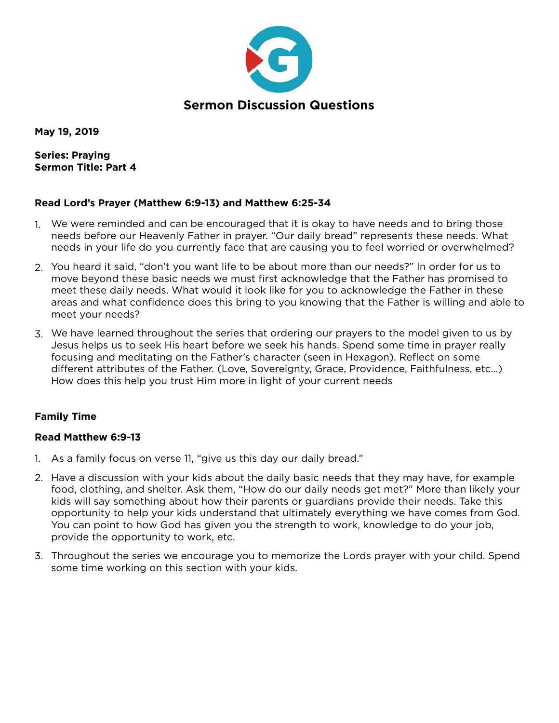

**May 19, 2019** 

**Series: Praying Sermon Title: Part 4** 

## **Read Lord's Prayer (Matthew 6:9-13) and Matthew 6:25-34**

- 1. We were reminded and can be encouraged that it is okay to have needs and to bring those needs before our Heavenly Father in prayer. "Our daily bread" represents these needs. What needs in your life do you currently face that are causing you to feel worried or overwhelmed?
- 2. You heard it said, "don't you want life to be about more than our needs?" In order for us to move beyond these basic needs we must first acknowledge that the Father has promised to meet these daily needs. What would it look like for you to acknowledge the Father in these areas and what confidence does this bring to you knowing that the Father is willing and able to meet your needs?
- 3. We have learned throughout the series that ordering our prayers to the model given to us by Jesus helps us to seek His heart before we seek his hands. Spend some time in prayer really focusing and meditating on the Father's character (seen in Hexagon). Reflect on some different attributes of the Father. (Love, Sovereignty, Grace, Providence, Faithfulness, etc…) How does this help you trust Him more in light of your current needs

## **Family Time**

#### **Read Matthew 6:9-13**

- 1. As a family focus on verse 11, "give us this day our daily bread."
- 2. Have a discussion with your kids about the daily basic needs that they may have, for example food, clothing, and shelter. Ask them, "How do our daily needs get met?" More than likely your kids will say something about how their parents or guardians provide their needs. Take this opportunity to help your kids understand that ultimately everything we have comes from God. You can point to how God has given you the strength to work, knowledge to do your job, provide the opportunity to work, etc.
- 3. Throughout the series we encourage you to memorize the Lords prayer with your child. Spend some time working on this section with your kids.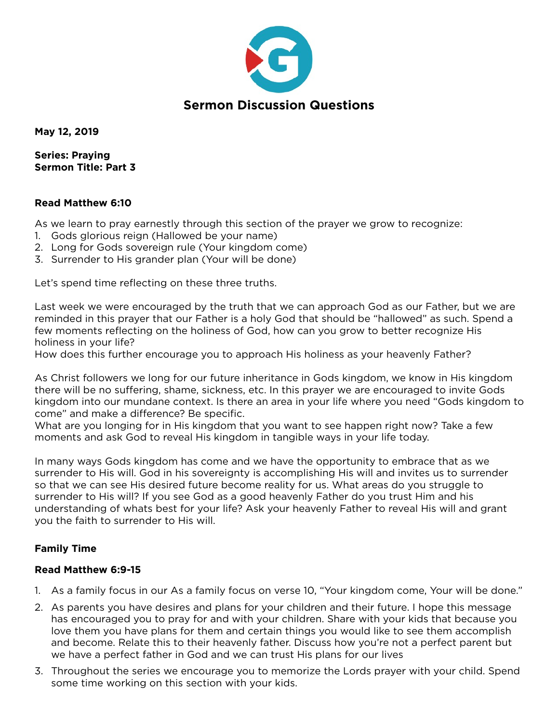

**May 12, 2019** 

**Series: Praying Sermon Title: Part 3** 

#### **Read Matthew 6:10**

As we learn to pray earnestly through this section of the prayer we grow to recognize:

- 1. Gods glorious reign (Hallowed be your name)
- 2. Long for Gods sovereign rule (Your kingdom come)
- 3. Surrender to His grander plan (Your will be done)

Let's spend time reflecting on these three truths.

Last week we were encouraged by the truth that we can approach God as our Father, but we are reminded in this prayer that our Father is a holy God that should be "hallowed" as such. Spend a few moments reflecting on the holiness of God, how can you grow to better recognize His holiness in your life?

How does this further encourage you to approach His holiness as your heavenly Father?

As Christ followers we long for our future inheritance in Gods kingdom, we know in His kingdom there will be no suffering, shame, sickness, etc. In this prayer we are encouraged to invite Gods kingdom into our mundane context. Is there an area in your life where you need "Gods kingdom to come" and make a difference? Be specific.

What are you longing for in His kingdom that you want to see happen right now? Take a few moments and ask God to reveal His kingdom in tangible ways in your life today.

In many ways Gods kingdom has come and we have the opportunity to embrace that as we surrender to His will. God in his sovereignty is accomplishing His will and invites us to surrender so that we can see His desired future become reality for us. What areas do you struggle to surrender to His will? If you see God as a good heavenly Father do you trust Him and his understanding of whats best for your life? Ask your heavenly Father to reveal His will and grant you the faith to surrender to His will.

## **Family Time**

#### **Read Matthew 6:9-15**

- 1. As a family focus in our As a family focus on verse 10, "Your kingdom come, Your will be done."
- 2. As parents you have desires and plans for your children and their future. I hope this message has encouraged you to pray for and with your children. Share with your kids that because you love them you have plans for them and certain things you would like to see them accomplish and become. Relate this to their heavenly father. Discuss how you're not a perfect parent but we have a perfect father in God and we can trust His plans for our lives
- 3. Throughout the series we encourage you to memorize the Lords prayer with your child. Spend some time working on this section with your kids.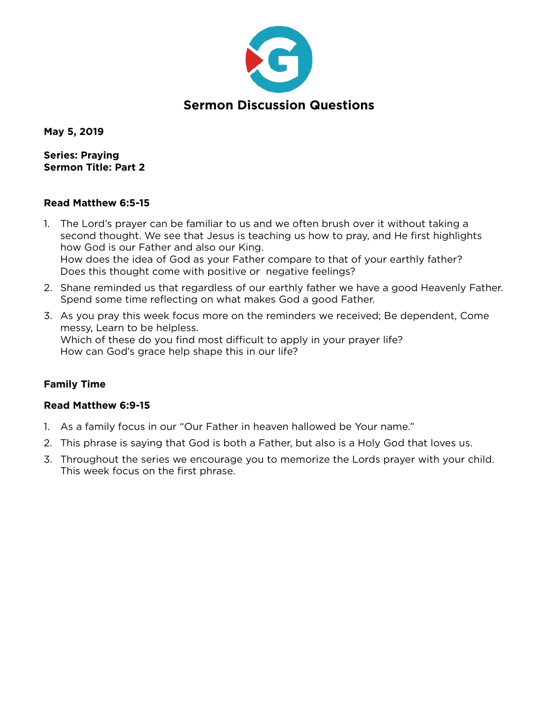

**May 5, 2019** 

**Series: Praying Sermon Title: Part 2** 

#### **Read Matthew 6:5-15**

- 1. The Lord's prayer can be familiar to us and we often brush over it without taking a second thought. We see that Jesus is teaching us how to pray, and He first highlights how God is our Father and also our King. How does the idea of God as your Father compare to that of your earthly father? Does this thought come with positive or negative feelings?
- 2. Shane reminded us that regardless of our earthly father we have a good Heavenly Father. Spend some time reflecting on what makes God a good Father.
- 3. As you pray this week focus more on the reminders we received; Be dependent, Come messy, Learn to be helpless. Which of these do you find most difficult to apply in your prayer life? How can God's grace help shape this in our life?

## **Family Time**

## **Read Matthew 6:9-15**

- 1. As a family focus in our "Our Father in heaven hallowed be Your name."
- 2. This phrase is saying that God is both a Father, but also is a Holy God that loves us.
- 3. Throughout the series we encourage you to memorize the Lords prayer with your child. This week focus on the first phrase.